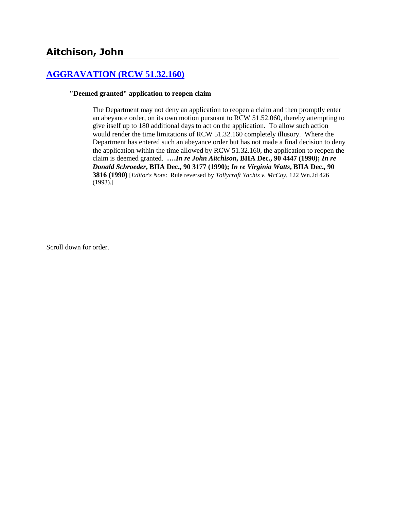# **Aitchison, John**

## **[AGGRAVATION \(RCW 51.32.160\)](http://www.biia.wa.gov/SDSubjectIndex.html#AGGRAVATION)**

#### **"Deemed granted" application to reopen claim**

The Department may not deny an application to reopen a claim and then promptly enter an abeyance order, on its own motion pursuant to RCW 51.52.060, thereby attempting to give itself up to 180 additional days to act on the application. To allow such action would render the time limitations of RCW 51.32.160 completely illusory. Where the Department has entered such an abeyance order but has not made a final decision to deny the application within the time allowed by RCW 51.32.160, the application to reopen the claim is deemed granted. **….***In re John Aitchison***, BIIA Dec., 90 4447 (1990);** *In re Donald Schroeder***, BIIA Dec., 90 3177 (1990);** *In re Virginia Watts***, BIIA Dec., 90 3816 (1990)** [*Editor's Note*: Rule reversed by *Tollycraft Yachts v. McCoy*, 122 Wn.2d 426 (1993).]

Scroll down for order.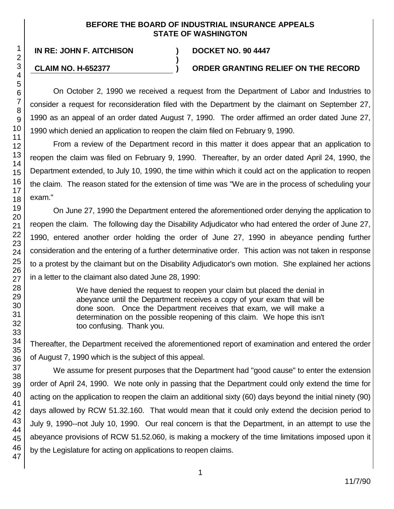### **BEFORE THE BOARD OF INDUSTRIAL INSURANCE APPEALS STATE OF WASHINGTON**

**)**

47

**IN RE: JOHN F. AITCHISON ) DOCKET NO. 90 4447**

### **CLAIM NO. H-652377 ) ORDER GRANTING RELIEF ON THE RECORD**

On October 2, 1990 we received a request from the Department of Labor and Industries to consider a request for reconsideration filed with the Department by the claimant on September 27, 1990 as an appeal of an order dated August 7, 1990. The order affirmed an order dated June 27, 1990 which denied an application to reopen the claim filed on February 9, 1990.

From a review of the Department record in this matter it does appear that an application to reopen the claim was filed on February 9, 1990. Thereafter, by an order dated April 24, 1990, the Department extended, to July 10, 1990, the time within which it could act on the application to reopen the claim. The reason stated for the extension of time was "We are in the process of scheduling your exam."

On June 27, 1990 the Department entered the aforementioned order denying the application to reopen the claim. The following day the Disability Adjudicator who had entered the order of June 27, 1990, entered another order holding the order of June 27, 1990 in abeyance pending further consideration and the entering of a further determinative order. This action was not taken in response to a protest by the claimant but on the Disability Adjudicator's own motion. She explained her actions in a letter to the claimant also dated June 28, 1990:

> We have denied the request to reopen your claim but placed the denial in abeyance until the Department receives a copy of your exam that will be done soon. Once the Department receives that exam, we will make a determination on the possible reopening of this claim. We hope this isn't too confusing. Thank you.

Thereafter, the Department received the aforementioned report of examination and entered the order of August 7, 1990 which is the subject of this appeal.

We assume for present purposes that the Department had "good cause" to enter the extension order of April 24, 1990. We note only in passing that the Department could only extend the time for acting on the application to reopen the claim an additional sixty (60) days beyond the initial ninety (90) days allowed by RCW 51.32.160. That would mean that it could only extend the decision period to July 9, 1990--not July 10, 1990. Our real concern is that the Department, in an attempt to use the abeyance provisions of RCW 51.52.060, is making a mockery of the time limitations imposed upon it by the Legislature for acting on applications to reopen claims.